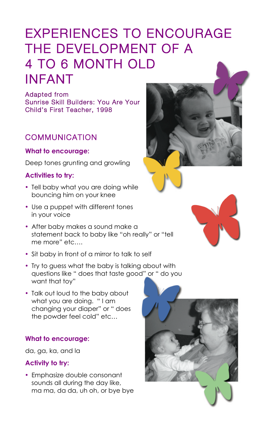# EXPERIENCES TO ENCOURAGE THE DEVELOPMENT OF A 4 TO 6 MONTH OLD INFANT

Adapted from Sunrise Skill Builders: You Are Your Child's First Teacher, 1998

# **COMMUNICATION**

#### **What to encourage:**

Deep tones grunting and growling

### **Activities to try:**

- Tell baby what you are doing while bouncing him on your knee
- Use a puppet with different tones in your voice
- After baby makes a sound make a statement back to baby like "oh really" or "tell me more" etc….
- Sit baby in front of a mirror to talk to self
- Try to guess what the baby is talking about with questions like " does that taste good" or " do you want that toy"
- Talk out loud to the baby about what you are doing. "I am changing your diaper" or " does







#### the powder feel cold" etc…

#### **What to encourage:**

da, ga, ka, and la

#### **Activity to try:**

• Emphasize double consonant sounds all during the day like, ma ma, da da, uh oh, or bye bye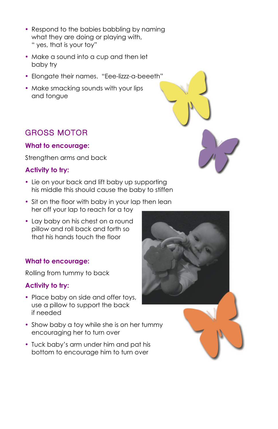- Respond to the babies babbling by naming what they are doing or playing with, " yes, that is your toy"
- Make a sound into a cup and then let baby try
- Elongate their names. "Eee-lizzz-a-beeeth"
- Make smacking sounds with your lips and tongue

# GROSS MOTOR

#### **What to encourage:**

Strengthen arms and back

- Lie on your back and lift baby up supporting his middle this should cause the baby to stiffen
- Sit on the floor with baby in your lap then lean her off your lap to reach for a toy
- Lay baby on his chest on a round pillow and roll back and forth so that his hands touch the floor

## **Activity to try:**

- Show baby a toy while she is on her tummy encouraging her to turn over
- Tuck baby's arm under him and pat his bottom to encourage him to turn over



### **What to encourage:**

Rolling from tummy to back

#### **Activity to try:**

• Place baby on side and offer toys, use a pillow to support the back if needed